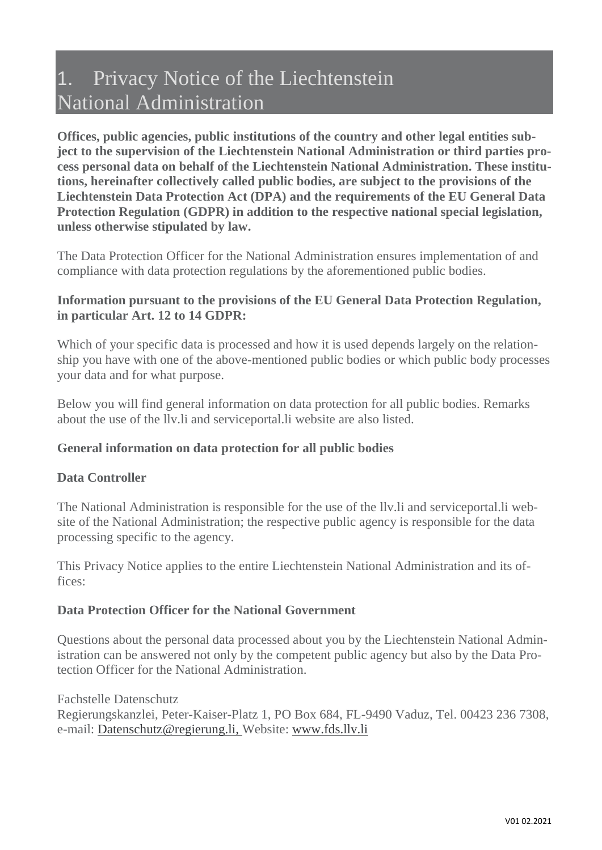# 1. Privacy Notice of the Liechtenstein National Administration

**Offices, public agencies, public institutions of the country and other legal entities subject to the supervision of the Liechtenstein National Administration or third parties process personal data on behalf of the Liechtenstein National Administration. These institutions, hereinafter collectively called public bodies, are subject to the provisions of the Liechtenstein Data Protection Act (DPA) and the requirements of the EU General Data Protection Regulation (GDPR) in addition to the respective national special legislation, unless otherwise stipulated by law.**

The Data Protection Officer for the National Administration ensures implementation of and compliance with data protection regulations by the aforementioned public bodies.

# **Information pursuant to the provisions of the EU General Data Protection Regulation, in particular Art. 12 to 14 GDPR:**

Which of your specific data is processed and how it is used depends largely on the relationship you have with one of the above-mentioned public bodies or which public body processes your data and for what purpose.

Below you will find general information on data protection for all public bodies. Remarks about the use of the llv.li and serviceportal.li website are also listed.

# **General information on data protection for all public bodies**

# **Data Controller**

The National Administration is responsible for the use of the llv.li and serviceportal.li website of the National Administration; the respective public agency is responsible for the data processing specific to the agency.

This Privacy Notice applies to the entire Liechtenstein National Administration and its offices:

# **Data Protection Officer for the National Government**

Questions about the personal data processed about you by the Liechtenstein National Administration can be answered not only by the competent public agency but also by the Data Protection Officer for the National Administration.

Fachstelle Datenschutz

Regierungskanzlei, Peter-Kaiser-Platz 1, PO Box 684, FL-9490 Vaduz, Tel. 00423 236 7308, e-mail: [Datenschutz@regierung.li,](mailto:Datenschutz@regierung.li) Website: [www.fds.llv.li](http://www.fds.llv.li/)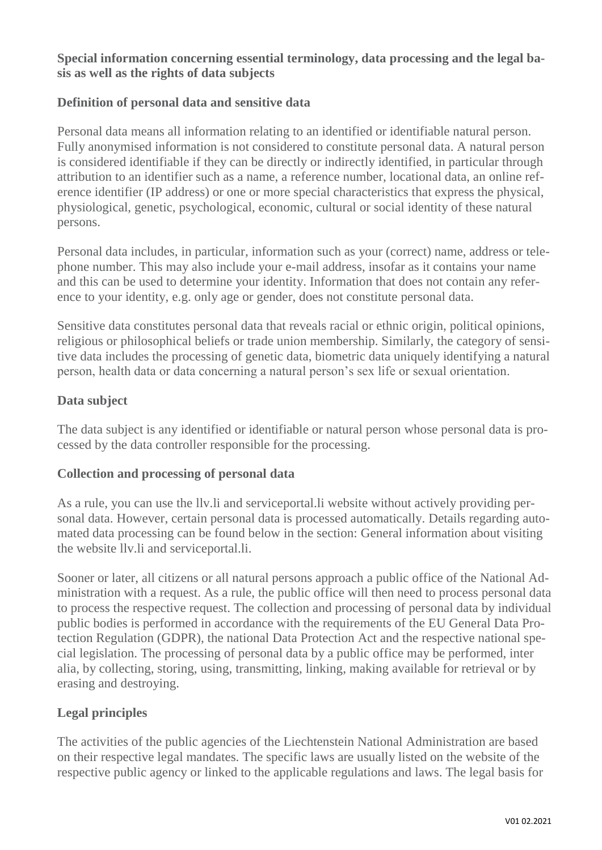# **Special information concerning essential terminology, data processing and the legal basis as well as the rights of data subjects**

# **Definition of personal data and sensitive data**

Personal data means all information relating to an identified or identifiable natural person. Fully anonymised information is not considered to constitute personal data. A natural person is considered identifiable if they can be directly or indirectly identified, in particular through attribution to an identifier such as a name, a reference number, locational data, an online reference identifier (IP address) or one or more special characteristics that express the physical, physiological, genetic, psychological, economic, cultural or social identity of these natural persons.

Personal data includes, in particular, information such as your (correct) name, address or telephone number. This may also include your e-mail address, insofar as it contains your name and this can be used to determine your identity. Information that does not contain any reference to your identity, e.g. only age or gender, does not constitute personal data.

Sensitive data constitutes personal data that reveals racial or ethnic origin, political opinions, religious or philosophical beliefs or trade union membership. Similarly, the category of sensitive data includes the processing of genetic data, biometric data uniquely identifying a natural person, health data or data concerning a natural person's sex life or sexual orientation.

# **Data subject**

The data subject is any identified or identifiable or natural person whose personal data is processed by the data controller responsible for the processing.

# **Collection and processing of personal data**

As a rule, you can use the llv.li and serviceportal.li website without actively providing personal data. However, certain personal data is processed automatically. Details regarding automated data processing can be found below in the section: General information about visiting the website llv.li and serviceportal.li.

Sooner or later, all citizens or all natural persons approach a public office of the National Administration with a request. As a rule, the public office will then need to process personal data to process the respective request. The collection and processing of personal data by individual public bodies is performed in accordance with the requirements of the EU General Data Protection Regulation (GDPR), the national Data Protection Act and the respective national special legislation. The processing of personal data by a public office may be performed, inter alia, by collecting, storing, using, transmitting, linking, making available for retrieval or by erasing and destroying.

# **Legal principles**

The activities of the public agencies of the Liechtenstein National Administration are based on their respective legal mandates. The specific laws are usually listed on the website of the respective public agency or linked to the applicable regulations and laws. The legal basis for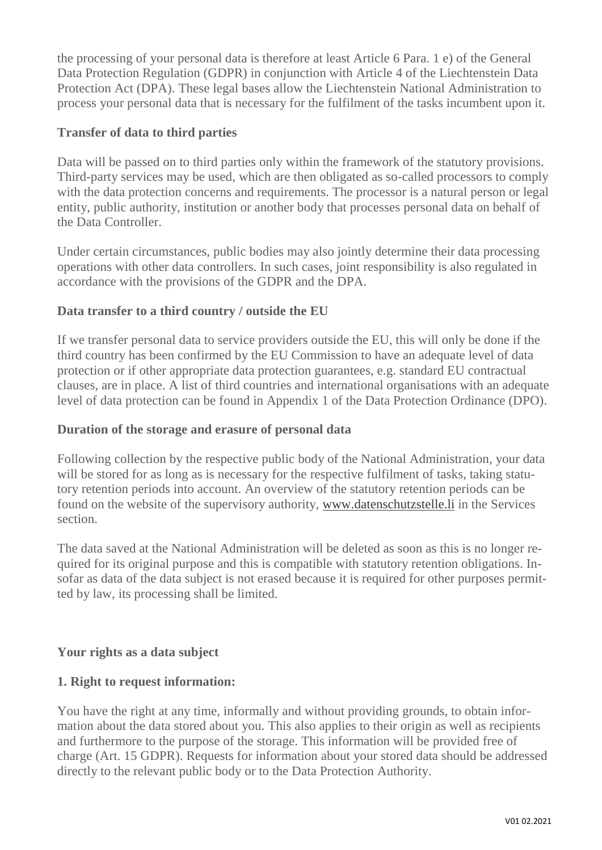the processing of your personal data is therefore at least Article 6 Para. 1 e) of the General Data Protection Regulation (GDPR) in conjunction with Article 4 of the Liechtenstein Data Protection Act (DPA). These legal bases allow the Liechtenstein National Administration to process your personal data that is necessary for the fulfilment of the tasks incumbent upon it.

# **Transfer of data to third parties**

Data will be passed on to third parties only within the framework of the statutory provisions. Third-party services may be used, which are then obligated as so-called processors to comply with the data protection concerns and requirements. The processor is a natural person or legal entity, public authority, institution or another body that processes personal data on behalf of the Data Controller.

Under certain circumstances, public bodies may also jointly determine their data processing operations with other data controllers. In such cases, joint responsibility is also regulated in accordance with the provisions of the GDPR and the DPA.

# **Data transfer to a third country / outside the EU**

If we transfer personal data to service providers outside the EU, this will only be done if the third country has been confirmed by the EU Commission to have an adequate level of data protection or if other appropriate data protection guarantees, e.g. standard EU contractual clauses, are in place. A list of third countries and international organisations with an adequate level of data protection can be found in Appendix 1 of the Data Protection Ordinance (DPO).

# **Duration of the storage and erasure of personal data**

Following collection by the respective public body of the National Administration, your data will be stored for as long as is necessary for the respective fulfilment of tasks, taking statutory retention periods into account. An overview of the statutory retention periods can be found on the website of the supervisory authority, [www.datenschutzstelle.li](http://www.datenschutzstelle.li/) in the Services section.

The data saved at the National Administration will be deleted as soon as this is no longer required for its original purpose and this is compatible with statutory retention obligations. Insofar as data of the data subject is not erased because it is required for other purposes permitted by law, its processing shall be limited.

# **Your rights as a data subject**

# **1. Right to request information:**

You have the right at any time, informally and without providing grounds, to obtain information about the data stored about you. This also applies to their origin as well as recipients and furthermore to the purpose of the storage. This information will be provided free of charge (Art. 15 GDPR). Requests for information about your stored data should be addressed directly to the relevant public body or to the Data Protection Authority.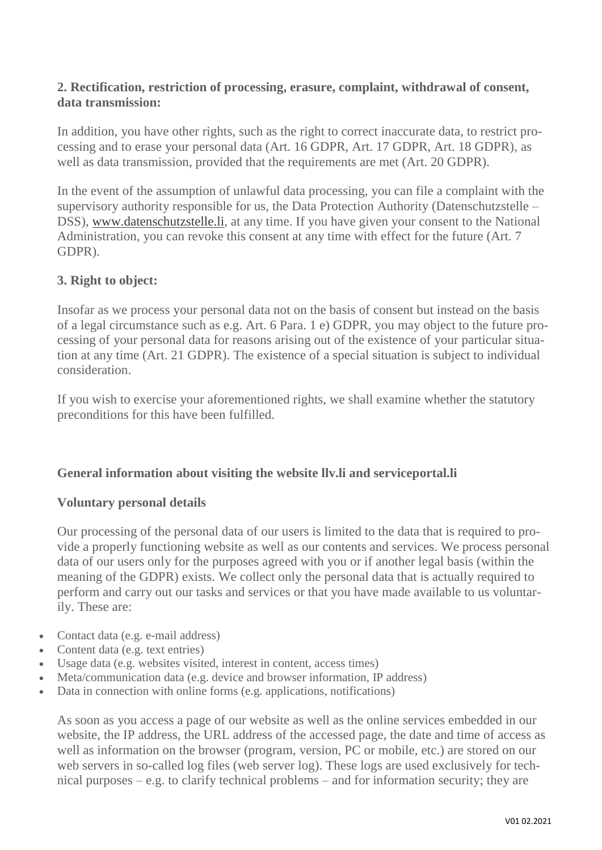# **2. Rectification, restriction of processing, erasure, complaint, withdrawal of consent, data transmission:**

In addition, you have other rights, such as the right to correct inaccurate data, to restrict processing and to erase your personal data (Art. 16 GDPR, Art. 17 GDPR, Art. 18 GDPR), as well as data transmission, provided that the requirements are met (Art. 20 GDPR).

In the event of the assumption of unlawful data processing, you can file a complaint with the supervisory authority responsible for us, the Data Protection Authority (Datenschutzstelle – DSS), [www.datenschutzstelle.li,](http://www.datenschutzstelle.li/) at any time. If you have given your consent to the National Administration, you can revoke this consent at any time with effect for the future (Art. 7 GDPR).

## **3. Right to object:**

Insofar as we process your personal data not on the basis of consent but instead on the basis of a legal circumstance such as e.g. Art. 6 Para. 1 e) GDPR, you may object to the future processing of your personal data for reasons arising out of the existence of your particular situation at any time (Art. 21 GDPR). The existence of a special situation is subject to individual consideration.

If you wish to exercise your aforementioned rights, we shall examine whether the statutory preconditions for this have been fulfilled.

# **General information about visiting the website llv.li and serviceportal.li**

#### **Voluntary personal details**

Our processing of the personal data of our users is limited to the data that is required to provide a properly functioning website as well as our contents and services. We process personal data of our users only for the purposes agreed with you or if another legal basis (within the meaning of the GDPR) exists. We collect only the personal data that is actually required to perform and carry out our tasks and services or that you have made available to us voluntarily. These are:

- Contact data (e.g. e-mail address)
- Content data (e.g. text entries)
- Usage data (e.g. websites visited, interest in content, access times)
- Meta/communication data (e.g. device and browser information, IP address)
- Data in connection with online forms (e.g. applications, notifications)

As soon as you access a page of our website as well as the online services embedded in our website, the IP address, the URL address of the accessed page, the date and time of access as well as information on the browser (program, version, PC or mobile, etc.) are stored on our web servers in so-called log files (web server log). These logs are used exclusively for technical purposes – e.g. to clarify technical problems – and for information security; they are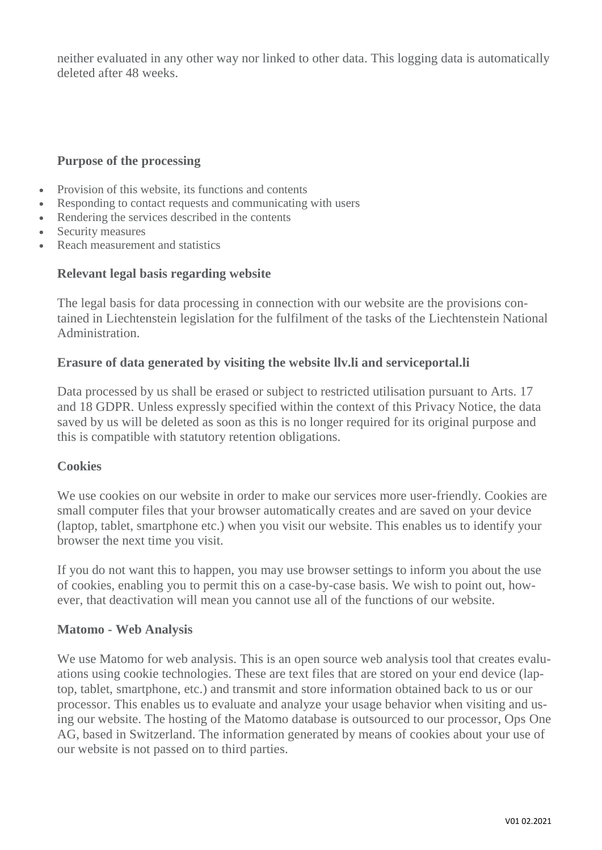neither evaluated in any other way nor linked to other data. This logging data is automatically deleted after 48 weeks.

## **Purpose of the processing**

- Provision of this website, its functions and contents
- Responding to contact requests and communicating with users
- Rendering the services described in the contents
- Security measures
- Reach measurement and statistics

#### **Relevant legal basis regarding website**

The legal basis for data processing in connection with our website are the provisions contained in Liechtenstein legislation for the fulfilment of the tasks of the Liechtenstein National Administration.

#### **Erasure of data generated by visiting the website llv.li and serviceportal.li**

Data processed by us shall be erased or subject to restricted utilisation pursuant to Arts. 17 and 18 GDPR. Unless expressly specified within the context of this Privacy Notice, the data saved by us will be deleted as soon as this is no longer required for its original purpose and this is compatible with statutory retention obligations.

#### **Cookies**

We use cookies on our website in order to make our services more user-friendly. Cookies are small computer files that your browser automatically creates and are saved on your device (laptop, tablet, smartphone etc.) when you visit our website. This enables us to identify your browser the next time you visit.

If you do not want this to happen, you may use browser settings to inform you about the use of cookies, enabling you to permit this on a case-by-case basis. We wish to point out, however, that deactivation will mean you cannot use all of the functions of our website.

#### **Matomo - Web Analysis**

We use Matomo for web analysis. This is an open source web analysis tool that creates evaluations using cookie technologies. These are text files that are stored on your end device (laptop, tablet, smartphone, etc.) and transmit and store information obtained back to us or our processor. This enables us to evaluate and analyze your usage behavior when visiting and using our website. The hosting of the Matomo database is outsourced to our processor, Ops One AG, based in Switzerland. The information generated by means of cookies about your use of our website is not passed on to third parties.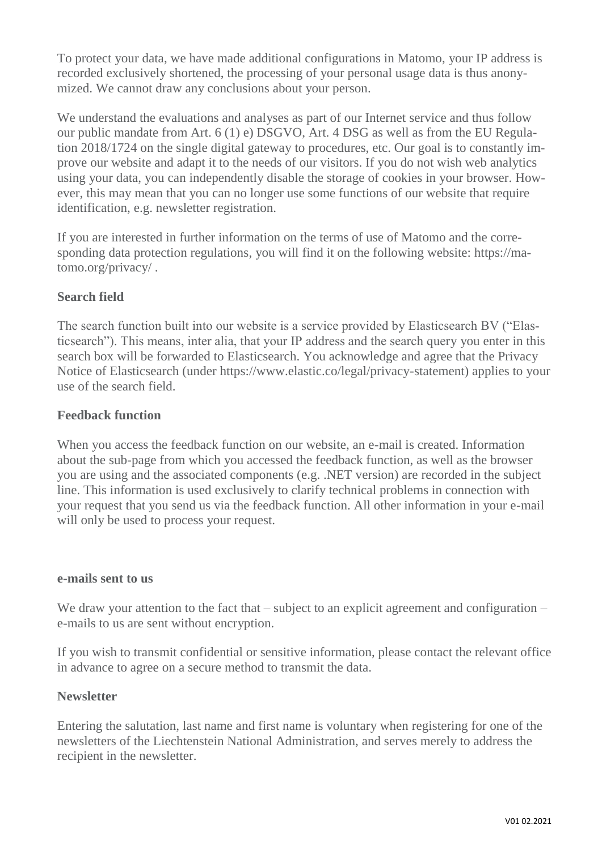To protect your data, we have made additional configurations in Matomo, your IP address is recorded exclusively shortened, the processing of your personal usage data is thus anonymized. We cannot draw any conclusions about your person.

We understand the evaluations and analyses as part of our Internet service and thus follow our public mandate from Art. 6 (1) e) DSGVO, Art. 4 DSG as well as from the EU Regulation 2018/1724 on the single digital gateway to procedures, etc. Our goal is to constantly improve our website and adapt it to the needs of our visitors. If you do not wish web analytics using your data, you can independently disable the storage of cookies in your browser. However, this may mean that you can no longer use some functions of our website that require identification, e.g. newsletter registration.

If you are interested in further information on the terms of use of Matomo and the corresponding data protection regulations, you will find it on the following website: https://matomo.org/privacy/ .

# **Search field**

The search function built into our website is a service provided by Elasticsearch BV ("Elasticsearch"). This means, inter alia, that your IP address and the search query you enter in this search box will be forwarded to Elasticsearch. You acknowledge and agree that the Privacy Notice of Elasticsearch (under https://www.elastic.co/legal/privacy-statement) applies to your use of the search field.

# **Feedback function**

When you access the feedback function on our website, an e-mail is created. Information about the sub-page from which you accessed the feedback function, as well as the browser you are using and the associated components (e.g. .NET version) are recorded in the subject line. This information is used exclusively to clarify technical problems in connection with your request that you send us via the feedback function. All other information in your e-mail will only be used to process your request.

#### **e-mails sent to us**

We draw your attention to the fact that – subject to an explicit agreement and configuration – e-mails to us are sent without encryption.

If you wish to transmit confidential or sensitive information, please contact the relevant office in advance to agree on a secure method to transmit the data.

# **Newsletter**

Entering the salutation, last name and first name is voluntary when registering for one of the newsletters of the Liechtenstein National Administration, and serves merely to address the recipient in the newsletter.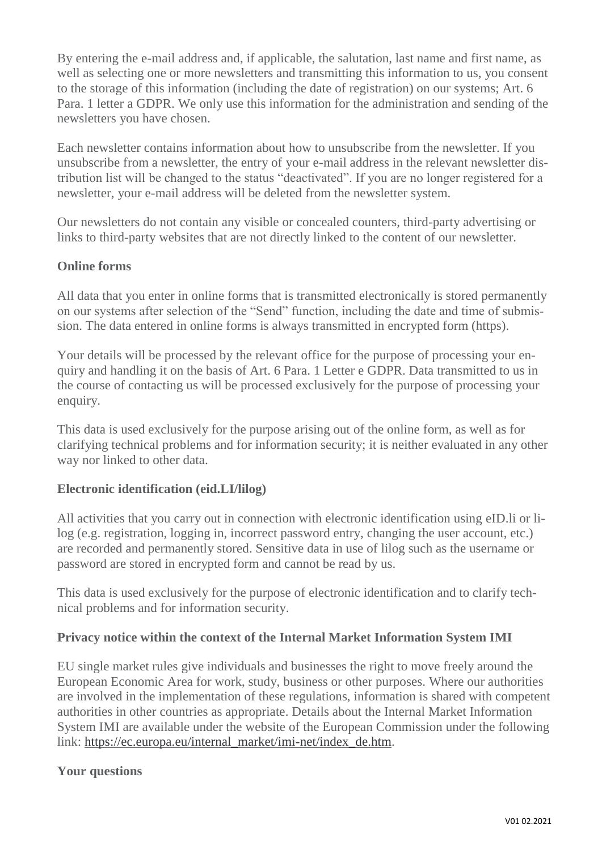By entering the e-mail address and, if applicable, the salutation, last name and first name, as well as selecting one or more newsletters and transmitting this information to us, you consent to the storage of this information (including the date of registration) on our systems; Art. 6 Para. 1 letter a GDPR. We only use this information for the administration and sending of the newsletters you have chosen.

Each newsletter contains information about how to unsubscribe from the newsletter. If you unsubscribe from a newsletter, the entry of your e-mail address in the relevant newsletter distribution list will be changed to the status "deactivated". If you are no longer registered for a newsletter, your e-mail address will be deleted from the newsletter system.

Our newsletters do not contain any visible or concealed counters, third-party advertising or links to third-party websites that are not directly linked to the content of our newsletter.

# **Online forms**

All data that you enter in online forms that is transmitted electronically is stored permanently on our systems after selection of the "Send" function, including the date and time of submission. The data entered in online forms is always transmitted in encrypted form (https).

Your details will be processed by the relevant office for the purpose of processing your enquiry and handling it on the basis of Art. 6 Para. 1 Letter e GDPR. Data transmitted to us in the course of contacting us will be processed exclusively for the purpose of processing your enquiry.

This data is used exclusively for the purpose arising out of the online form, as well as for clarifying technical problems and for information security; it is neither evaluated in any other way nor linked to other data.

# **Electronic identification (eid.LI/lilog)**

All activities that you carry out in connection with electronic identification using eID.li or lilog (e.g. registration, logging in, incorrect password entry, changing the user account, etc.) are recorded and permanently stored. Sensitive data in use of lilog such as the username or password are stored in encrypted form and cannot be read by us.

This data is used exclusively for the purpose of electronic identification and to clarify technical problems and for information security.

# **Privacy notice within the context of the Internal Market Information System IMI**

EU single market rules give individuals and businesses the right to move freely around the European Economic Area for work, study, business or other purposes. Where our authorities are involved in the implementation of these regulations, information is shared with competent authorities in other countries as appropriate. Details about the Internal Market Information System IMI are available under the website of the European Commission under the following link: [https://ec.europa.eu/internal\\_market/imi-net/index\\_de.htm.](https://ec.europa.eu/internal_market/imi-net/index_de.htm)

# **Your questions**